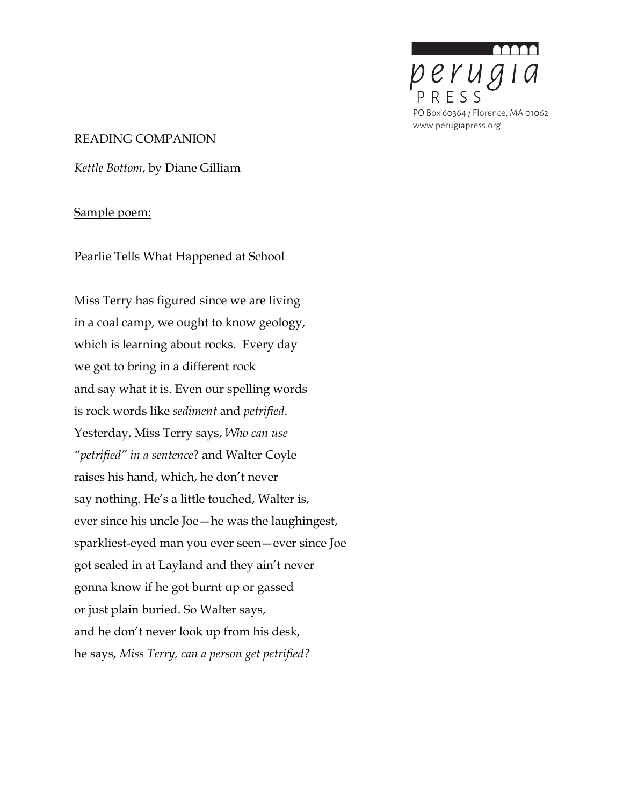

### READING COMPANION

*Kettle Bottom*, by Diane Gilliam

### Sample poem:

Pearlie Tells What Happened at School

Miss Terry has figured since we are living in a coal camp, we ought to know geology, which is learning about rocks. Every day we got to bring in a different rock and say what it is. Even our spelling words is rock words like *sediment* and *petrified*. Yesterday, Miss Terry says, *Who can use "petrified" in a sentence*? and Walter Coyle raises his hand, which, he don't never say nothing. He's a little touched, Walter is, ever since his uncle Joe—he was the laughingest, sparkliest-eyed man you ever seen—ever since Joe got sealed in at Layland and they ain't never gonna know if he got burnt up or gassed or just plain buried. So Walter says, and he don't never look up from his desk, he says, *Miss Terry, can a person get petrified?*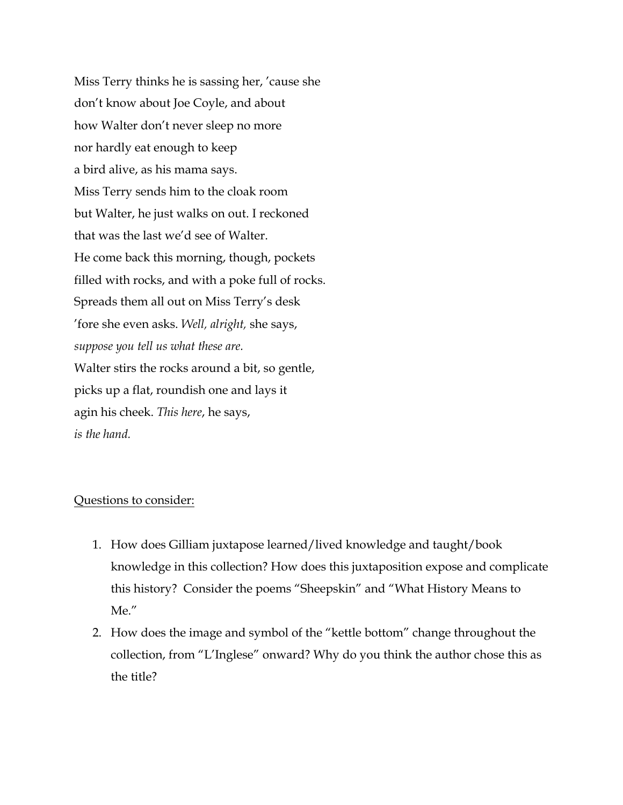Miss Terry thinks he is sassing her, 'cause she don't know about Joe Coyle, and about how Walter don't never sleep no more nor hardly eat enough to keep a bird alive, as his mama says. Miss Terry sends him to the cloak room but Walter, he just walks on out. I reckoned that was the last we'd see of Walter. He come back this morning, though, pockets filled with rocks, and with a poke full of rocks. Spreads them all out on Miss Terry's desk 'fore she even asks. *Well, alright,* she says, *suppose you tell us what these are.* Walter stirs the rocks around a bit, so gentle, picks up a flat, roundish one and lays it agin his cheek. *This here*, he says, *is the hand.*

## Questions to consider:

- 1. How does Gilliam juxtapose learned/lived knowledge and taught/book knowledge in this collection? How does this juxtaposition expose and complicate this history? Consider the poems "Sheepskin" and "What History Means to Me."
- 2. How does the image and symbol of the "kettle bottom" change throughout the collection, from "L'Inglese" onward? Why do you think the author chose this as the title?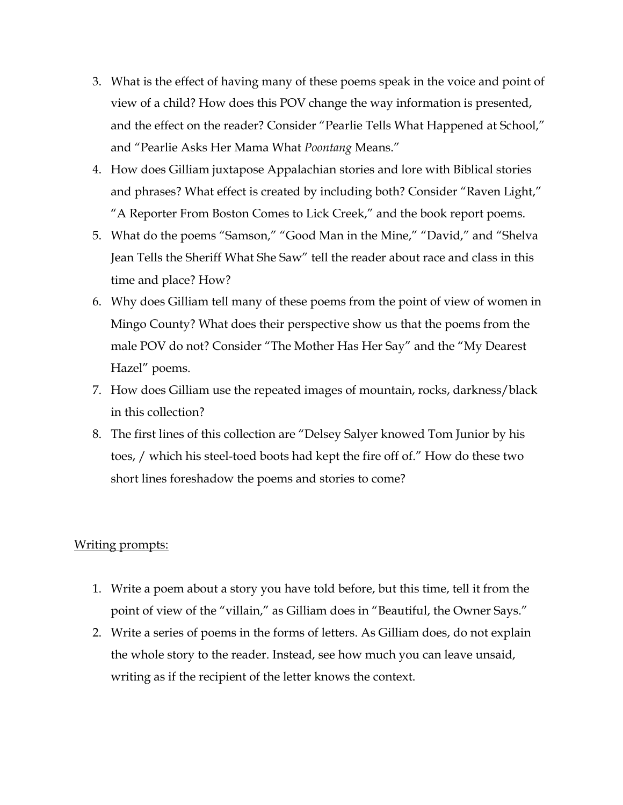- 3. What is the effect of having many of these poems speak in the voice and point of view of a child? How does this POV change the way information is presented, and the effect on the reader? Consider "Pearlie Tells What Happened at School," and "Pearlie Asks Her Mama What *Poontang* Means."
- 4. How does Gilliam juxtapose Appalachian stories and lore with Biblical stories and phrases? What effect is created by including both? Consider "Raven Light," "A Reporter From Boston Comes to Lick Creek," and the book report poems.
- 5. What do the poems "Samson," "Good Man in the Mine," "David," and "Shelva Jean Tells the Sheriff What She Saw" tell the reader about race and class in this time and place? How?
- 6. Why does Gilliam tell many of these poems from the point of view of women in Mingo County? What does their perspective show us that the poems from the male POV do not? Consider "The Mother Has Her Say" and the "My Dearest Hazel" poems.
- 7. How does Gilliam use the repeated images of mountain, rocks, darkness/black in this collection?
- 8. The first lines of this collection are "Delsey Salyer knowed Tom Junior by his toes, / which his steel-toed boots had kept the fire off of." How do these two short lines foreshadow the poems and stories to come?

## Writing prompts:

- 1. Write a poem about a story you have told before, but this time, tell it from the point of view of the "villain," as Gilliam does in "Beautiful, the Owner Says."
- 2. Write a series of poems in the forms of letters. As Gilliam does, do not explain the whole story to the reader. Instead, see how much you can leave unsaid, writing as if the recipient of the letter knows the context.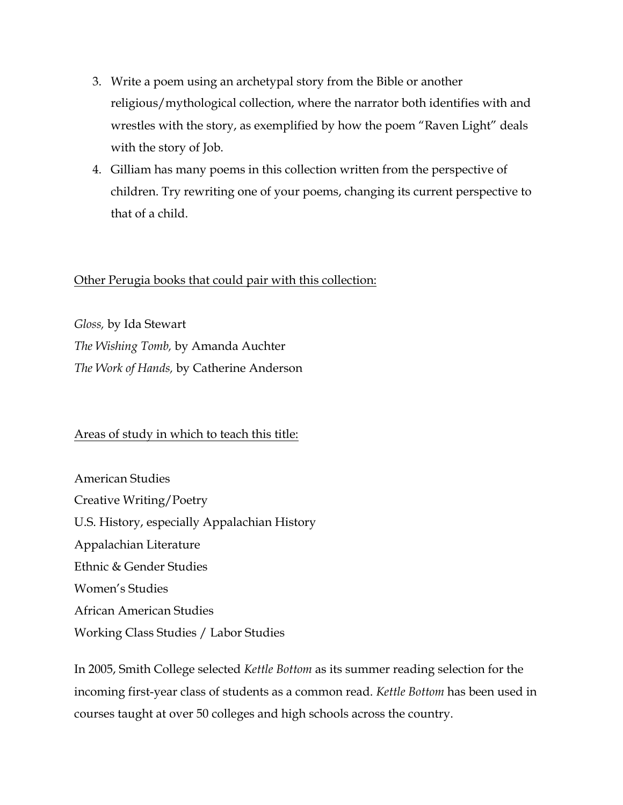- 3. Write a poem using an archetypal story from the Bible or another religious/mythological collection, where the narrator both identifies with and wrestles with the story, as exemplified by how the poem "Raven Light" deals with the story of Job.
- 4. Gilliam has many poems in this collection written from the perspective of children. Try rewriting one of your poems, changing its current perspective to that of a child.

# Other Perugia books that could pair with this collection:

*Gloss,* by Ida Stewart *The Wishing Tomb,* by Amanda Auchter *The Work of Hands,* by Catherine Anderson

# Areas of study in which to teach this title:

American Studies Creative Writing/Poetry U.S. History, especially Appalachian History Appalachian Literature Ethnic & Gender Studies Women's Studies African American Studies Working Class Studies / Labor Studies

In 2005, Smith College selected *Kettle Bottom* as its summer reading selection for the incoming first-year class of students as a common read. *Kettle Bottom* has been used in courses taught at over 50 colleges and high schools across the country.